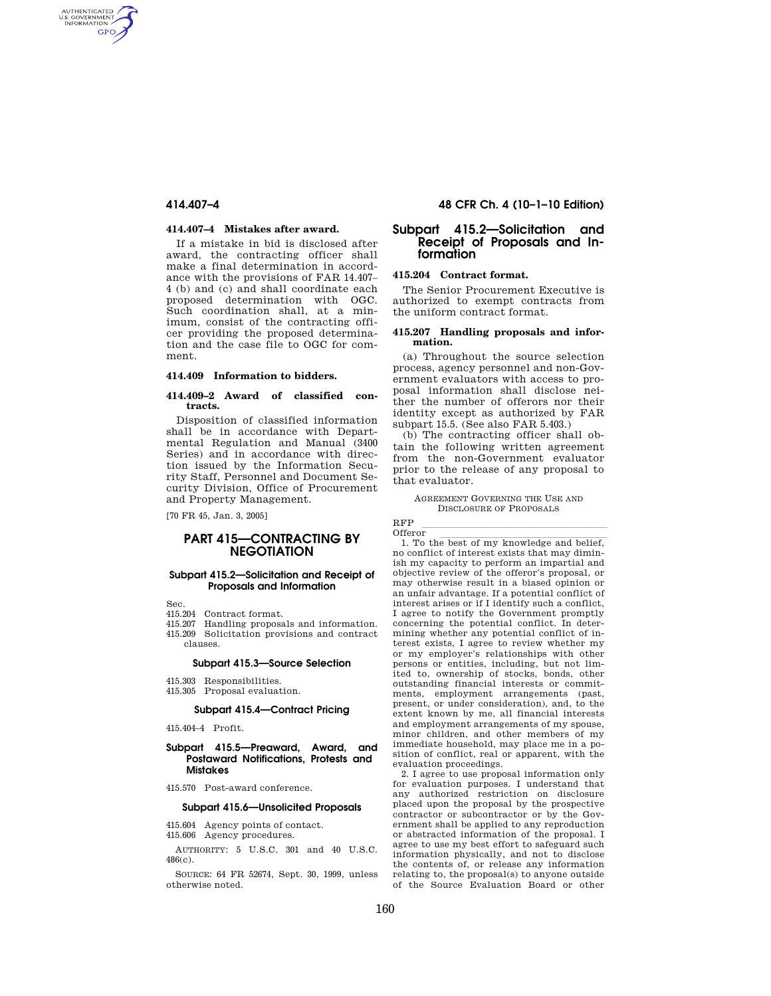AUTHENTICATED<br>U.S. GOVERNMENT<br>INFORMATION **GPO** 

## **414.407–4 Mistakes after award.**

If a mistake in bid is disclosed after award, the contracting officer shall make a final determination in accordance with the provisions of FAR 14.407– 4 (b) and (c) and shall coordinate each proposed determination with OGC. Such coordination shall, at a minimum, consist of the contracting officer providing the proposed determination and the case file to OGC for comment.

### **414.409 Information to bidders.**

#### **414.409–2 Award of classified contracts.**

Disposition of classified information shall be in accordance with Departmental Regulation and Manual (3400 Series) and in accordance with direction issued by the Information Security Staff, Personnel and Document Security Division, Office of Procurement and Property Management.

[70 FR 45, Jan. 3, 2005]

# **PART 415—CONTRACTING BY NEGOTIATION**

### **Subpart 415.2—Solicitation and Receipt of Proposals and Information**

Sec.

- 415.204 Contract format.
- 415.207 Handling proposals and information.
- 415.209 Solicitation provisions and contract clauses.

#### **Subpart 415.3—Source Selection**

- 415.303 Responsibilities.
- 415.305 Proposal evaluation.

### **Subpart 415.4—Contract Pricing**

415.404–4 Profit.

## **Subpart 415.5—Preaward, Award, and Postaward Notifications, Protests and Mistakes**

415.570 Post-award conference.

# **Subpart 415.6—Unsolicited Proposals**

415.604 Agency points of contact. 415.606 Agency procedures.

AUTHORITY: 5 U.S.C. 301 and 40 U.S.C. 486(c).

SOURCE: 64 FR 52674, Sept. 30, 1999, unless otherwise noted.

# **414.407–4 48 CFR Ch. 4 (10–1–10 Edition)**

# **Subpart 415.2—Solicitation and Receipt of Proposals and Information**

# **415.204 Contract format.**

The Senior Procurement Executive is authorized to exempt contracts from the uniform contract format.

#### **415.207 Handling proposals and information.**

(a) Throughout the source selection process, agency personnel and non-Government evaluators with access to proposal information shall disclose neither the number of offerors nor their identity except as authorized by FAR subpart 15.5. (See also FAR 5.403.)

(b) The contracting officer shall obtain the following written agreement from the non-Government evaluator prior to the release of any proposal to that evaluator.

AGREEMENT GOVERNING THE USE AND DISCLOSURE OF PROPOSALS

RFP lllllllllllllllllllll

Offeror<br>1. To the best of my knowledge and belief, no conflict of interest exists that may diminish my capacity to perform an impartial and objective review of the offeror's proposal, or may otherwise result in a biased opinion or an unfair advantage. If a potential conflict of interest arises or if I identify such a conflict, I agree to notify the Government promptly concerning the potential conflict. In determining whether any potential conflict of interest exists, I agree to review whether my or my employer's relationships with other persons or entities, including, but not limited to, ownership of stocks, bonds, other outstanding financial interests or commitments, employment arrangements (past, present, or under consideration), and, to the extent known by me, all financial interests and employment arrangements of my spouse, minor children, and other members of my immediate household, may place me in a position of conflict, real or apparent, with the evaluation proceedings.

2. I agree to use proposal information only for evaluation purposes. I understand that any authorized restriction on disclosure placed upon the proposal by the prospective contractor or subcontractor or by the Government shall be applied to any reproduction or abstracted information of the proposal. I agree to use my best effort to safeguard such information physically, and not to disclose the contents of, or release any information relating to, the proposal(s) to anyone outside of the Source Evaluation Board or other